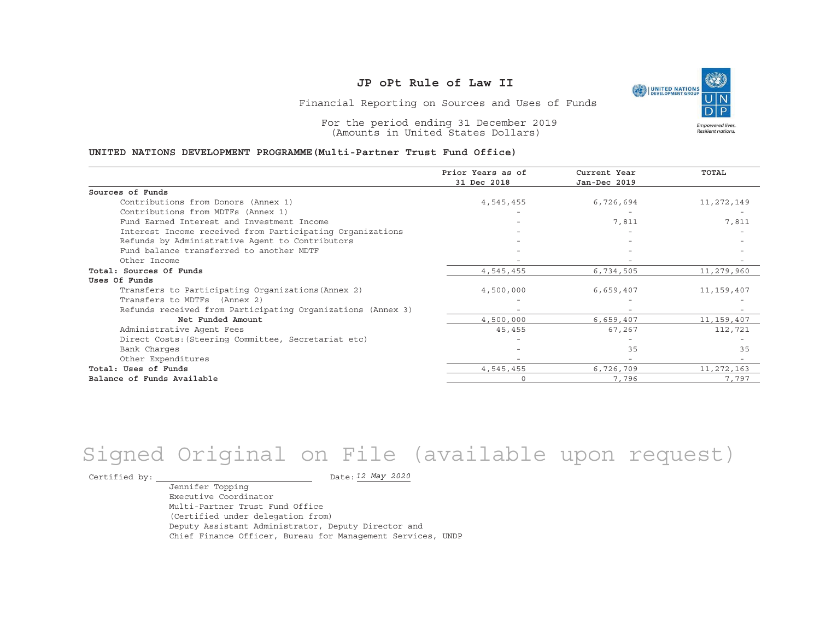

Financial Reporting on Sources and Uses of Funds

For the period ending 31 December 2019 (Amounts in United States Dollars)

#### **UNITED NATIONS DEVELOPMENT PROGRAMME(Multi-Partner Trust Fund Office)**

|                                                             | Prior Years as of<br>31 Dec 2018 | Current Year<br>Jan-Dec 2019 | <b>TOTAL</b> |
|-------------------------------------------------------------|----------------------------------|------------------------------|--------------|
|                                                             |                                  |                              |              |
| Sources of Funds                                            |                                  |                              |              |
| Contributions from Donors (Annex 1)                         | 4,545,455                        | 6,726,694                    | 11,272,149   |
| Contributions from MDTFs (Annex 1)                          |                                  |                              |              |
| Fund Earned Interest and Investment Income                  |                                  | 7,811                        | 7,811        |
| Interest Income received from Participating Organizations   |                                  |                              |              |
| Refunds by Administrative Agent to Contributors             |                                  |                              |              |
| Fund balance transferred to another MDTF                    |                                  |                              |              |
| Other Income                                                |                                  |                              |              |
| Total: Sources Of Funds                                     | 4,545,455                        | 6,734,505                    | 11,279,960   |
| Uses Of Funds                                               |                                  |                              |              |
| Transfers to Participating Organizations (Annex 2)          | 4,500,000                        | 6,659,407                    | 11,159,407   |
| Transfers to MDTFs (Annex 2)                                |                                  |                              |              |
| Refunds received from Participating Organizations (Annex 3) |                                  |                              |              |
| Net Funded Amount                                           | 4,500,000                        | 6,659,407                    | 11,159,407   |
| Administrative Agent Fees                                   | 45,455                           | 67,267                       | 112,721      |
| Direct Costs: (Steering Committee, Secretariat etc)         |                                  |                              |              |
| Bank Charges                                                |                                  | 35                           | 35           |
| Other Expenditures                                          |                                  |                              |              |
| Total: Uses of Funds                                        | 4,545,455                        | 6,726,709                    | 11, 272, 163 |
| Balance of Funds Available                                  | $\Omega$                         | 7,796                        | 7,797        |

# Signed Original on File (available upon request)

Certified by:  $\overline{\phantom{a}}$ 

*12 May 2020*

Jennifer Topping Executive CoordinatorMulti-Partner Trust Fund Office(Certified under delegation from) Deputy Assistant Administrator, Deputy Director and Chief Finance Officer, Bureau for Management Services, UNDP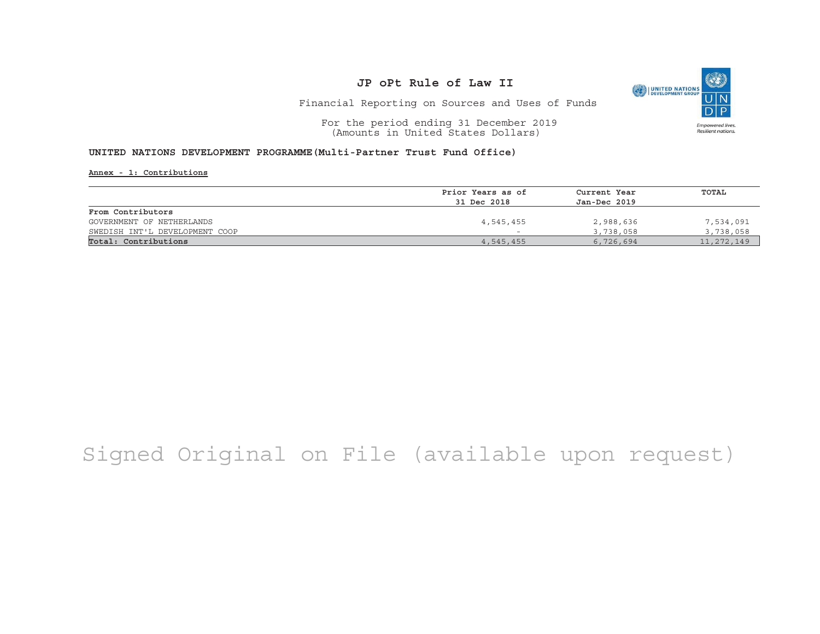

Financial Reporting on Sources and Uses of Funds

For the period ending 31 December 2019 (Amounts in United States Dollars)

#### **UNITED NATIONS DEVELOPMENT PROGRAMME(Multi-Partner Trust Fund Office)**

**Annex - 1: Contributions**

|                                | Prior Years as of | Current Year | TOTAL      |
|--------------------------------|-------------------|--------------|------------|
|                                | 31 Dec 2018       | Jan-Dec 2019 |            |
|                                |                   |              |            |
| From Contributors              |                   |              |            |
| GOVERNMENT OF NETHERLANDS      | 4,545,455         | 2,988,636    | 7,534,091  |
| SWEDISH INT'L DEVELOPMENT COOP |                   | 3,738,058    | 3,738,058  |
| Total: Contributions           | 4,545,455         | 6,726,694    | 11,272,149 |

## Signed Original on File (available upon request)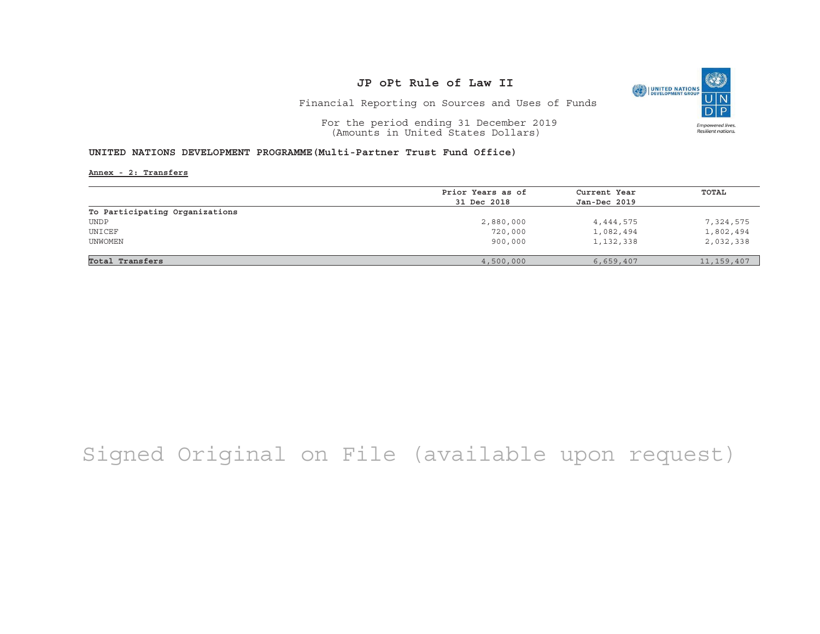

Financial Reporting on Sources and Uses of Funds

For the period ending 31 December 2019 (Amounts in United States Dollars)

#### **UNITED NATIONS DEVELOPMENT PROGRAMME(Multi-Partner Trust Fund Office)**

**Annex - 2: Transfers**

|                                | Prior Years as of | Current Year | TOTAL        |
|--------------------------------|-------------------|--------------|--------------|
|                                | 31 Dec 2018       | Jan-Dec 2019 |              |
| To Participating Organizations |                   |              |              |
| <b>UNDP</b>                    | 2,880,000         | 4,444,575    | 7,324,575    |
| UNICEF                         | 720,000           | 1,082,494    | 1,802,494    |
| UNWOMEN                        | 900,000           | 1,132,338    | 2,032,338    |
|                                |                   |              |              |
| Total Transfers                | 4,500,000         | 6,659,407    | 11, 159, 407 |

## Signed Original on File (available upon request)